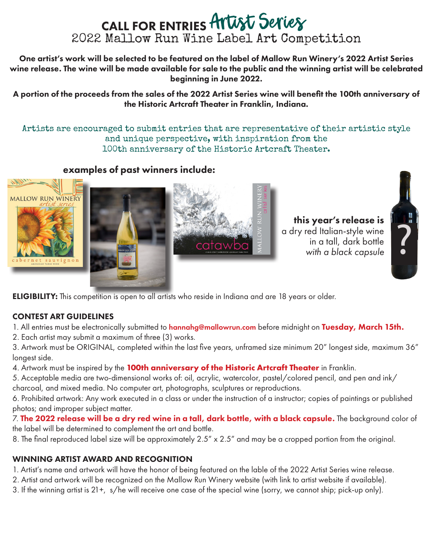# CALL FOR ENTRIES Artist Series 2022 Mallow Run Wine Label Art Competition

One artist's work will be selected to be featured on the label of Mallow Run Winery's 2022 Artist Series wine release. The wine will be made available for sale to the public and the winning artist will be celebrated beginning in June 2022.

A portion of the proceeds from the sales of the 2022 Artist Series wine will benefit the 100th anniversary of the Historic Artcraft Theater in Franklin, Indiana.

Artists are encouraged to submit entries that are representative of their artistic style and unique perspective, with inspiration from the 100th anniversary of the Historic Artcraft Theater.

## examples of past winners include:







this year's release is a dry red Italian-style wine in a tall, dark bottle *with a black capsule* 



**ELIGIBILITY:** This competition is open to all artists who reside in Indiana and are 18 years or older.

#### CONTEST ART GUIDELINES

1. All entries must be electronically submitted to hannahg@mallowrun.com before midnight on Tuesday, March 15th.

2. Each artist may submit a maximum of three (3) works.

3. Artwork must be ORIGINAL, completed within the last five years, unframed size minimum 20" longest side, maximum 36" longest side.

4. Artwork must be inspired by the **100th anniversary of the Historic Artcraft Theater** in Franklin.

5. Acceptable media are two-dimensional works of: oil, acrylic, watercolor, pastel/colored pencil, and pen and ink/ charcoal, and mixed media. No computer art, photographs, sculptures or reproductions.

6. Prohibited artwork: Any work executed in a class or under the instruction of a instructor; copies of paintings or published photos; and improper subject matter.

7. The 2022 release will be a dry red wine in a tall, dark bottle, with a black capsule. The background color of the label will be determined to complement the art and bottle.

8. The final reproduced label size will be approximately 2.5" x 2.5" and may be a cropped portion from the original.

#### WINNING ARTIST AWARD AND RECOGNITION

1. Artist's name and artwork will have the honor of being featured on the lable of the 2022 Artist Series wine release.

- 2. Artist and artwork will be recognized on the Mallow Run Winery website (with link to artist website if available).
- 3. If the winning artist is 21+, s/he will receive one case of the special wine (sorry, we cannot ship; pick-up only).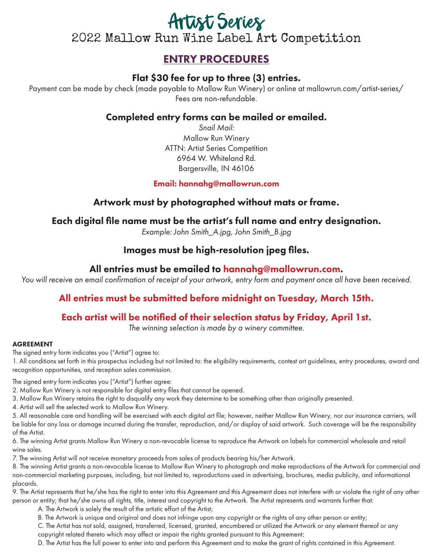# Artist Series 2022 Mallow Run Wine Label Art Competition

# ENTRY PROCEDURES

# Flat \$30 fee for up to three (3) entries.

Payment can be made by check (made payable to Mallow Run Winery) or online at mallowrun.com/artist-series/ Fees are non-refundable.

#### Completed entry forms can be mailed or emailed.

*Snail Mail:* Mallow Run Winery ATTN: Artist Series Competition 6964 W. Whiteland Rd. Bargersville, IN 46106

#### Email: hannahg@mallowrun.com

## Artwork must by photographed without mats or frame.

#### Each digital file name must be the artist's full name and entry designation.

*Example: John Smith\_A.jpg, John Smith\_B.jpg*

## Images must be high-resolution jpeg files.

#### All entries must be emailed to hannahg@mallowrun.com.

*You will receive an email confirmation of receipt of your artwork, entry form and payment once all have been received.*

# All entries must be submitted before midnight on Tuesday, March 15th.

#### Each artist will be notified of their selection status by Friday, April 1st.

*The winning selection is made by a winery committee.*

#### AGREEMENT

The signed entry form indicates you ("Artist") agree to:

1. All conditions set forth in this prospectus including but not limited to: the eligibility requirements, contest art guidelines, entry procedures, award and recognition opportunities, and reception sales commission.

The signed entry form indicates you ("Artist") further agree:

- 2. Mallow Run Winery is not responsible for digital entry files that cannot be opened.
- 3. Mallow Run Winery retains the right to disqualify any work they determine to be something other than originally presented.
- 4. Artist will sell the selected work to Mallow Run Winery.

5. All reasonable care and handling will be exercised with each digital art file; however, neither Mallow Run Winery, nor our insurance carriers, will be liable for any loss or damage incurred during the transfer, reproduction, and/or display of said artwork. Such coverage will be the responsibility of the Artist.

6. The winning Artist grants Mallow Run Winery a non-revocable license to reproduce the Artwork on labels for commercial wholesale and retail wine sales.

7. The winning Artist will not receive monetary proceeds from sales of products bearing his/her Artwork.

8. The winning Artist grants a non-revocable license to Mallow Run Winery to photograph and make reproductions of the Artwork for commercial and non-commercial marketing purposes, including, but not limited to, reproductions used in advertising, brochures, media publicity, and informational placards.

9. The Artist represents that he/she has the right to enter into this Agreement and this Agreement does not interfere with or violate the right of any other person or entity; that he/she owns all rights, title, interest and copyright to the Artwork. The Artist represents and warrants further that:

A. The Artwork is solely the result of the artistic effort of the Artist;

B. The Artwork is unique and original and does not infringe upon any copyright or the rights of any other person or entity;

C. The Artist has not sold, assigned, transferred, licensed, granted, encumbered or utilized the Artwork or any element thereof or any copyright related thereto which may affect or impair the rights granted pursuant to this Agreement;

D. The Artist has the full power to enter into and perform this Agreement and to make the grant of rights contained in this Agreement.